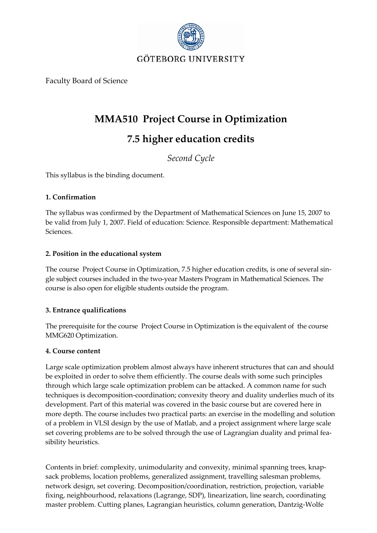

Faculty Board of Science

## **MMA510 Project Course in Optimization**

# **7.5 higher education credits**

*Second Cycle*

This syllabus is the binding document.

## **1. Confirmation**

The syllabus was confirmed by the Department of Mathematical Sciences on June 15, 2007 to be valid from July 1, 2007. Field of education: Science. Responsible department: Mathematical Sciences.

## **2. Position in the educational system**

The course Project Course in Optimization, 7.5 higher education credits, is one of several single subject courses included in the two‐year Masters Program in Mathematical Sciences. The course is also open for eligible students outside the program.

## **3. Entrance qualifications**

The prerequisite for the course Project Course in Optimization is the equivalent of the course MMG620 Optimization.

#### **4. Course content**

Large scale optimization problem almost always have inherent structures that can and should be exploited in order to solve them efficiently. The course deals with some such principles through which large scale optimization problem can be attacked. A common name for such techniques is decomposition‐coordination; convexity theory and duality underlies much of its development. Part of this material was covered in the basic course but are covered here in more depth. The course includes two practical parts: an exercise in the modelling and solution of a problem in VLSI design by the use of Matlab, and a project assignment where large scale set covering problems are to be solved through the use of Lagrangian duality and primal feasibility heuristics.

Contents in brief: complexity, unimodularity and convexity, minimal spanning trees, knap‐ sack problems, location problems, generalized assignment, travelling salesman problems, network design, set covering. Decomposition/coordination, restriction, projection, variable fixing, neighbourhood, relaxations (Lagrange, SDP), linearization, line search, coordinating master problem. Cutting planes, Lagrangian heuristics, column generation, Dantzig‐Wolfe